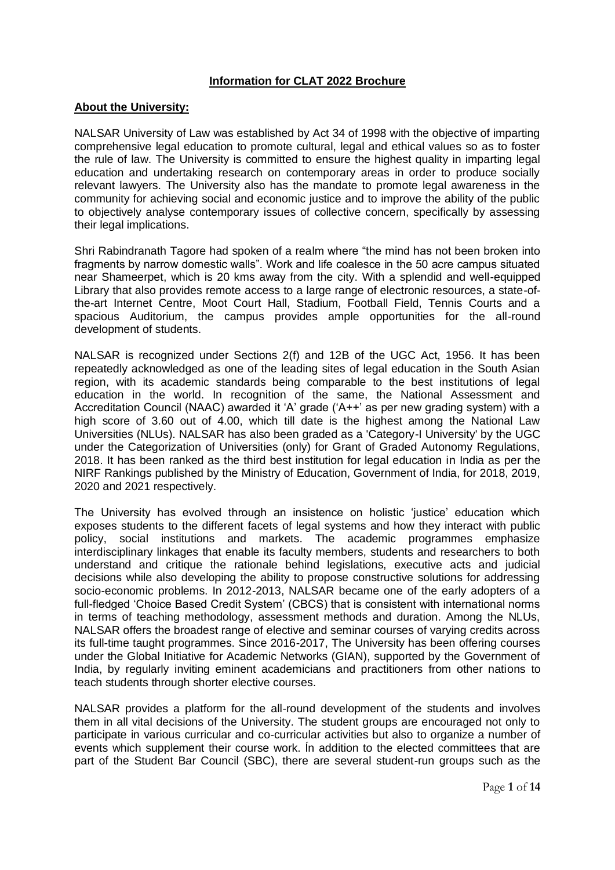## **Information for CLAT 2022 Brochure**

## **About the University:**

NALSAR University of Law was established by Act 34 of 1998 with the objective of imparting comprehensive legal education to promote cultural, legal and ethical values so as to foster the rule of law. The University is committed to ensure the highest quality in imparting legal education and undertaking research on contemporary areas in order to produce socially relevant lawyers. The University also has the mandate to promote legal awareness in the community for achieving social and economic justice and to improve the ability of the public to objectively analyse contemporary issues of collective concern, specifically by assessing their legal implications.

Shri Rabindranath Tagore had spoken of a realm where "the mind has not been broken into fragments by narrow domestic walls". Work and life coalesce in the 50 acre campus situated near Shameerpet, which is 20 kms away from the city. With a splendid and well-equipped Library that also provides remote access to a large range of electronic resources, a state-ofthe-art Internet Centre, Moot Court Hall, Stadium, Football Field, Tennis Courts and a spacious Auditorium, the campus provides ample opportunities for the all-round development of students.

NALSAR is recognized under Sections 2(f) and 12B of the UGC Act, 1956. It has been repeatedly acknowledged as one of the leading sites of legal education in the South Asian region, with its academic standards being comparable to the best institutions of legal education in the world. In recognition of the same, the National Assessment and Accreditation Council (NAAC) awarded it 'A' grade ('A++' as per new grading system) with a high score of 3.60 out of 4.00, which till date is the highest among the National Law Universities (NLUs). NALSAR has also been graded as a 'Category-I University' by the UGC under the Categorization of Universities (only) for Grant of Graded Autonomy Regulations, 2018. It has been ranked as the third best institution for legal education in India as per the NIRF Rankings published by the Ministry of Education, Government of India, for 2018, 2019, 2020 and 2021 respectively.

The University has evolved through an insistence on holistic 'justice' education which exposes students to the different facets of legal systems and how they interact with public policy, social institutions and markets. The academic programmes emphasize interdisciplinary linkages that enable its faculty members, students and researchers to both understand and critique the rationale behind legislations, executive acts and judicial decisions while also developing the ability to propose constructive solutions for addressing socio-economic problems. In 2012-2013, NALSAR became one of the early adopters of a full-fledged 'Choice Based Credit System' (CBCS) that is consistent with international norms in terms of teaching methodology, assessment methods and duration. Among the NLUs, NALSAR offers the broadest range of elective and seminar courses of varying credits across its full-time taught programmes. Since 2016-2017, The University has been offering courses under the Global Initiative for Academic Networks (GIAN), supported by the Government of India, by regularly inviting eminent academicians and practitioners from other nations to teach students through shorter elective courses.

NALSAR provides a platform for the all-round development of the students and involves them in all vital decisions of the University. The student groups are encouraged not only to participate in various curricular and co-curricular activities but also to organize a number of events which supplement their course work. Ín addition to the elected committees that are part of the Student Bar Council (SBC), there are several student-run groups such as the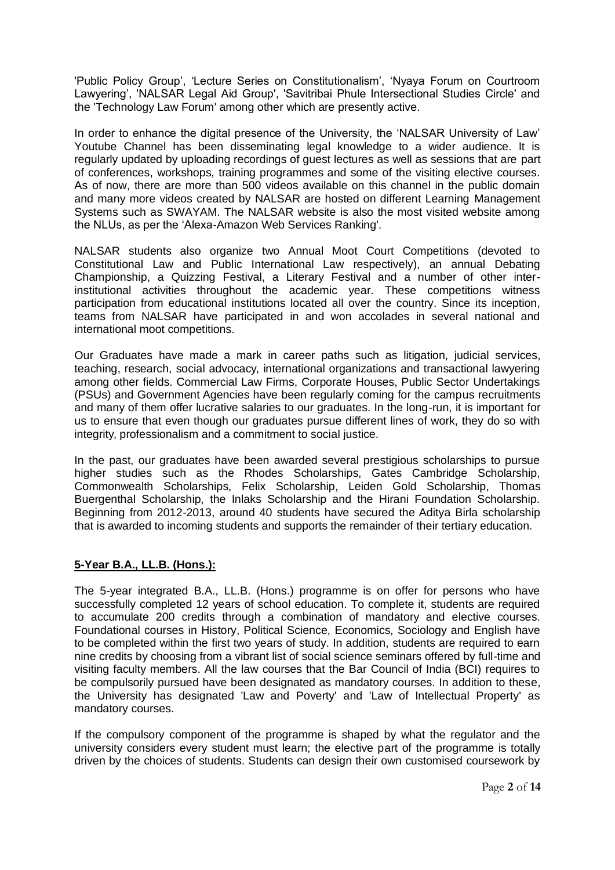'Public Policy Group', 'Lecture Series on Constitutionalism', 'Nyaya Forum on Courtroom Lawyering', 'NALSAR Legal Aid Group', 'Savitribai Phule Intersectional Studies Circle' and the 'Technology Law Forum' among other which are presently active.

In order to enhance the digital presence of the University, the 'NALSAR University of Law' Youtube Channel has been disseminating legal knowledge to a wider audience. It is regularly updated by uploading recordings of guest lectures as well as sessions that are part of conferences, workshops, training programmes and some of the visiting elective courses. As of now, there are more than 500 videos available on this channel in the public domain and many more videos created by NALSAR are hosted on different Learning Management Systems such as SWAYAM. The NALSAR website is also the most visited website among the NLUs, as per the 'Alexa-Amazon Web Services Ranking'.

NALSAR students also organize two Annual Moot Court Competitions (devoted to Constitutional Law and Public International Law respectively), an annual Debating Championship, a Quizzing Festival, a Literary Festival and a number of other interinstitutional activities throughout the academic year. These competitions witness participation from educational institutions located all over the country. Since its inception, teams from NALSAR have participated in and won accolades in several national and international moot competitions.

Our Graduates have made a mark in career paths such as litigation, judicial services, teaching, research, social advocacy, international organizations and transactional lawyering among other fields. Commercial Law Firms, Corporate Houses, Public Sector Undertakings (PSUs) and Government Agencies have been regularly coming for the campus recruitments and many of them offer lucrative salaries to our graduates. In the long-run, it is important for us to ensure that even though our graduates pursue different lines of work, they do so with integrity, professionalism and a commitment to social justice.

In the past, our graduates have been awarded several prestigious scholarships to pursue higher studies such as the Rhodes Scholarships, Gates Cambridge Scholarship, Commonwealth Scholarships, Felix Scholarship, Leiden Gold Scholarship, Thomas Buergenthal Scholarship, the Inlaks Scholarship and the Hirani Foundation Scholarship. Beginning from 2012-2013, around 40 students have secured the Aditya Birla scholarship that is awarded to incoming students and supports the remainder of their tertiary education.

## **5-Year B.A., LL.B. (Hons.):**

The 5-year integrated B.A., LL.B. (Hons.) programme is on offer for persons who have successfully completed 12 years of school education. To complete it, students are required to accumulate 200 credits through a combination of mandatory and elective courses. Foundational courses in History, Political Science, Economics, Sociology and English have to be completed within the first two years of study. In addition, students are required to earn nine credits by choosing from a vibrant list of social science seminars offered by full-time and visiting faculty members. All the law courses that the Bar Council of India (BCI) requires to be compulsorily pursued have been designated as mandatory courses. In addition to these, the University has designated 'Law and Poverty' and 'Law of Intellectual Property' as mandatory courses.

If the compulsory component of the programme is shaped by what the regulator and the university considers every student must learn; the elective part of the programme is totally driven by the choices of students. Students can design their own customised coursework by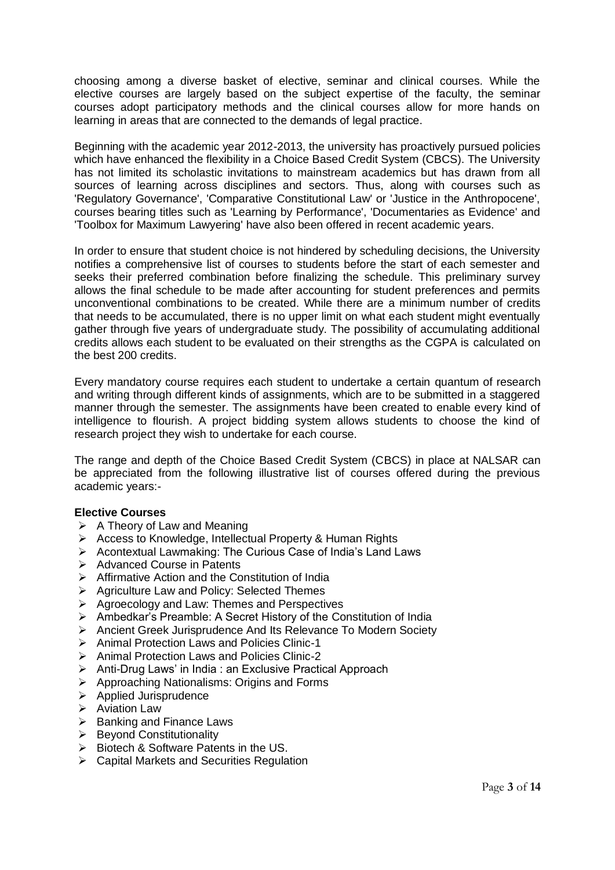choosing among a diverse basket of elective, seminar and clinical courses. While the elective courses are largely based on the subject expertise of the faculty, the seminar courses adopt participatory methods and the clinical courses allow for more hands on learning in areas that are connected to the demands of legal practice.

Beginning with the academic year 2012-2013, the university has proactively pursued policies which have enhanced the flexibility in a Choice Based Credit System (CBCS). The University has not limited its scholastic invitations to mainstream academics but has drawn from all sources of learning across disciplines and sectors. Thus, along with courses such as 'Regulatory Governance', 'Comparative Constitutional Law' or 'Justice in the Anthropocene', courses bearing titles such as 'Learning by Performance', 'Documentaries as Evidence' and 'Toolbox for Maximum Lawyering' have also been offered in recent academic years.

In order to ensure that student choice is not hindered by scheduling decisions, the University notifies a comprehensive list of courses to students before the start of each semester and seeks their preferred combination before finalizing the schedule. This preliminary survey allows the final schedule to be made after accounting for student preferences and permits unconventional combinations to be created. While there are a minimum number of credits that needs to be accumulated, there is no upper limit on what each student might eventually gather through five years of undergraduate study. The possibility of accumulating additional credits allows each student to be evaluated on their strengths as the CGPA is calculated on the best 200 credits.

Every mandatory course requires each student to undertake a certain quantum of research and writing through different kinds of assignments, which are to be submitted in a staggered manner through the semester. The assignments have been created to enable every kind of intelligence to flourish. A project bidding system allows students to choose the kind of research project they wish to undertake for each course.

The range and depth of the Choice Based Credit System (CBCS) in place at NALSAR can be appreciated from the following illustrative list of courses offered during the previous academic years:-

## **Elective Courses**

- $\triangleright$  A Theory of Law and Meaning
- ➢ Access to Knowledge, Intellectual Property & Human Rights
- ➢ Acontextual Lawmaking: The Curious Case of India's Land Laws
- ➢ Advanced Course in Patents
- ➢ Affirmative Action and the Constitution of India
- ➢ Agriculture Law and Policy: Selected Themes
- ➢ Agroecology and Law: Themes and Perspectives
- ➢ Ambedkar's Preamble: A Secret History of the Constitution of India
- ➢ Ancient Greek Jurisprudence And Its Relevance To Modern Society
- ➢ Animal Protection Laws and Policies Clinic-1
- ➢ Animal Protection Laws and Policies Clinic-2
- ➢ Anti-Drug Laws' in India : an Exclusive Practical Approach
- ➢ Approaching Nationalisms: Origins and Forms
- ➢ Applied Jurisprudence
- ➢ Aviation Law
- $\triangleright$  Banking and Finance Laws
- ➢ Beyond Constitutionality
- ➢ Biotech & Software Patents in the US.
- ➢ Capital Markets and Securities Regulation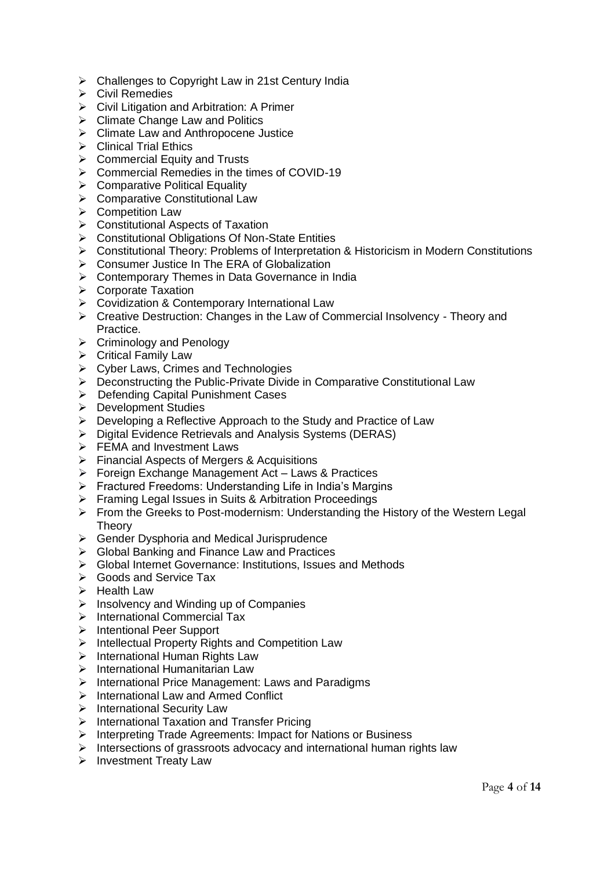- ➢ Challenges to Copyright Law in 21st Century India
- ➢ Civil Remedies
- ➢ Civil Litigation and Arbitration: A Primer
- $\triangleright$  Climate Change Law and Politics
- ➢ Climate Law and Anthropocene Justice
- ➢ Clinical Trial Ethics
- $\triangleright$  Commercial Equity and Trusts
- ➢ Commercial Remedies in the times of COVID-19
- ➢ Comparative Political Equality
- ➢ Comparative Constitutional Law
- ➢ Competition Law
- ➢ Constitutional Aspects of Taxation
- ➢ Constitutional Obligations Of Non-State Entities
- ➢ Constitutional Theory: Problems of Interpretation & Historicism in Modern Constitutions
- ➢ Consumer Justice In The ERA of Globalization
- ➢ Contemporary Themes in Data Governance in India
- ➢ Corporate Taxation
- ➢ Covidization & Contemporary International Law
- ➢ Creative Destruction: Changes in the Law of Commercial Insolvency Theory and Practice.
- ➢ Criminology and Penology
- ➢ Critical Family Law
- ➢ Cyber Laws, Crimes and Technologies
- ➢ Deconstructing the Public-Private Divide in Comparative Constitutional Law
- ➢ Defending Capital Punishment Cases
- ➢ Development Studies
- ➢ Developing a Reflective Approach to the Study and Practice of Law
- ➢ Digital Evidence Retrievals and Analysis Systems (DERAS)
- ➢ FEMA and Investment Laws
- ➢ Financial Aspects of Mergers & Acquisitions
- ➢ Foreign Exchange Management Act Laws & Practices
- ➢ Fractured Freedoms: Understanding Life in India's Margins
- ➢ Framing Legal Issues in Suits & Arbitration Proceedings
- ➢ From the Greeks to Post-modernism: Understanding the History of the Western Legal **Theory**
- ➢ Gender Dysphoria and Medical Jurisprudence
- ➢ Global Banking and Finance Law and Practices
- ➢ Global Internet Governance: Institutions, Issues and Methods
- ➢ Goods and Service Tax
- ➢ Health Law
- $\triangleright$  Insolvency and Winding up of Companies
- ➢ International Commercial Tax
- ➢ Intentional Peer Support
- ➢ Intellectual Property Rights and Competition Law
- ➢ International Human Rights Law
- ➢ International Humanitarian Law
- ➢ International Price Management: Laws and Paradigms
- ➢ International Law and Armed Conflict
- ➢ International Security Law
- ➢ International Taxation and Transfer Pricing
- ➢ Interpreting Trade Agreements: Impact for Nations or Business
- Intersections of grassroots advocacy and international human rights law
- ➢ Investment Treaty Law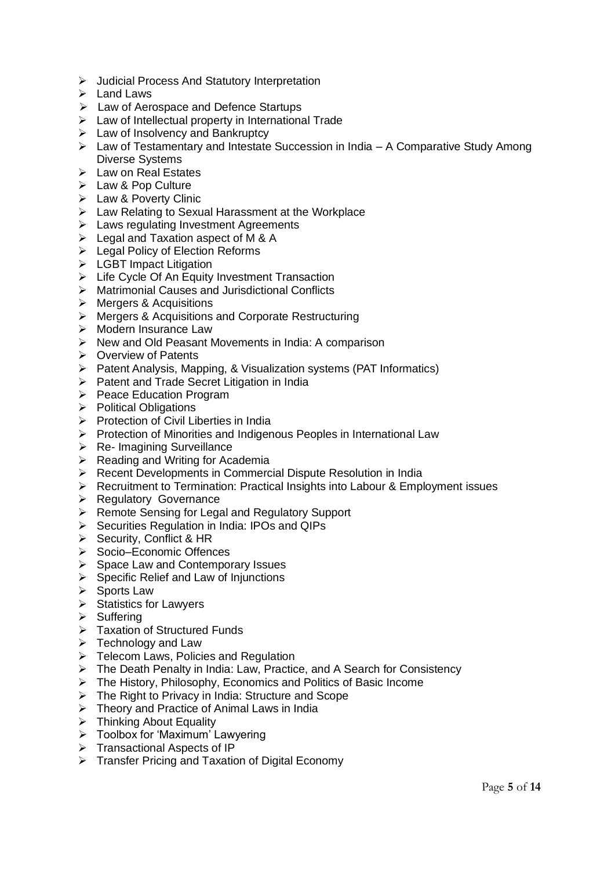- ➢ Judicial Process And Statutory Interpretation
- ➢ Land Laws
- ➢ Law of Aerospace and Defence Startups
- ➢ Law of Intellectual property in International Trade
- ➢ Law of Insolvency and Bankruptcy
- ➢ Law of Testamentary and Intestate Succession in India A Comparative Study Among Diverse Systems
- ➢ Law on Real Estates
- ➢ Law & Pop Culture
- ➢ Law & Poverty Clinic
- ➢ Law Relating to Sexual Harassment at the Workplace
- ➢ Laws regulating Investment Agreements
- ➢ Legal and Taxation aspect of M & A
- ➢ Legal Policy of Election Reforms
- ➢ LGBT Impact Litigation
- ➢ Life Cycle Of An Equity Investment Transaction
- ➢ Matrimonial Causes and Jurisdictional Conflicts
- ➢ Mergers & Acquisitions
- ➢ Mergers & Acquisitions and Corporate Restructuring
- ➢ Modern Insurance Law
- ➢ New and Old Peasant Movements in India: A comparison
- ➢ Overview of Patents
- ➢ Patent Analysis, Mapping, & Visualization systems (PAT Informatics)
- ➢ Patent and Trade Secret Litigation in India
- ➢ Peace Education Program
- ➢ Political Obligations
- ➢ Protection of Civil Liberties in India
- ➢ Protection of Minorities and Indigenous Peoples in International Law
- ➢ Re- Imagining Surveillance
- ➢ Reading and Writing for Academia
- ➢ Recent Developments in Commercial Dispute Resolution in India
- ➢ Recruitment to Termination: Practical Insights into Labour & Employment issues
- ➢ Regulatory Governance
- ➢ Remote Sensing for Legal and Regulatory Support
- ➢ Securities Regulation in India: IPOs and QIPs
- ➢ Security, Conflict & HR
- ➢ Socio–Economic Offences
- ➢ Space Law and Contemporary Issues
- $\triangleright$  Specific Relief and Law of Injunctions
- ➢ Sports Law
- ➢ Statistics for Lawyers
- ➢ Suffering
- ➢ Taxation of Structured Funds
- ➢ Technology and Law
- ➢ Telecom Laws, Policies and Regulation
- ➢ The Death Penalty in India: Law, Practice, and A Search for Consistency
- ➢ The History, Philosophy, Economics and Politics of Basic Income
- ➢ The Right to Privacy in India: Structure and Scope
- ➢ Theory and Practice of Animal Laws in India
- ➢ Thinking About Equality
- ➢ Toolbox for 'Maximum' Lawyering
- ➢ Transactional Aspects of IP
- ➢ Transfer Pricing and Taxation of Digital Economy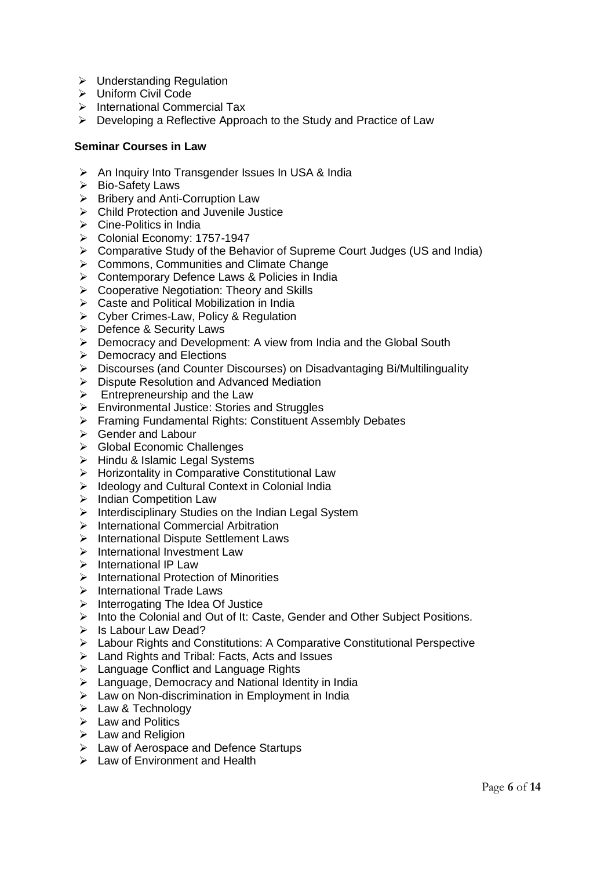- ➢ Understanding Regulation
- ➢ Uniform Civil Code
- ➢ International Commercial Tax
- ➢ Developing a Reflective Approach to the Study and Practice of Law

#### **Seminar Courses in Law**

- ➢ An Inquiry Into Transgender Issues In USA & India
- ➢ Bio-Safety Laws
- ➢ Bribery and Anti-Corruption Law
- ➢ Child Protection and Juvenile Justice
- ➢ Cine-Politics in India
- ➢ Colonial Economy: 1757-1947
- ➢ Comparative Study of the Behavior of Supreme Court Judges (US and India)
- ➢ Commons, Communities and Climate Change
- ➢ Contemporary Defence Laws & Policies in India
- ➢ Cooperative Negotiation: Theory and Skills
- ➢ Caste and Political Mobilization in India
- ➢ Cyber Crimes-Law, Policy & Regulation
- ➢ Defence & Security Laws
- ➢ Democracy and Development: A view from India and the Global South
- ➢ Democracy and Elections
- ➢ Discourses (and Counter Discourses) on Disadvantaging Bi/Multilinguality
- ➢ Dispute Resolution and Advanced Mediation
- $\triangleright$  Entrepreneurship and the Law
- ➢ Environmental Justice: Stories and Struggles
- ➢ Framing Fundamental Rights: Constituent Assembly Debates
- ➢ Gender and Labour
- ➢ Global Economic Challenges
- ➢ Hindu & Islamic Legal Systems
- ➢ Horizontality in Comparative Constitutional Law
- ➢ Ideology and Cultural Context in Colonial India
- ➢ Indian Competition Law
- ➢ Interdisciplinary Studies on the Indian Legal System
- ➢ International Commercial Arbitration
- ➢ International Dispute Settlement Laws
- ➢ International Investment Law
- ➢ International IP Law
- ➢ International Protection of Minorities
- ➢ International Trade Laws
- ➢ Interrogating The Idea Of Justice
- ➢ Into the Colonial and Out of It: Caste, Gender and Other Subject Positions.
- ➢ Is Labour Law Dead?
- ➢ Labour Rights and Constitutions: A Comparative Constitutional Perspective
- ➢ Land Rights and Tribal: Facts, Acts and Issues
- ➢ Language Conflict and Language Rights
- ➢ Language, Democracy and National Identity in India
- ➢ Law on Non-discrimination in Employment in India
- ➢ Law & Technology
- ➢ Law and Politics
- ➢ Law and Religion
- ➢ Law of Aerospace and Defence Startups
- ➢ Law of Environment and Health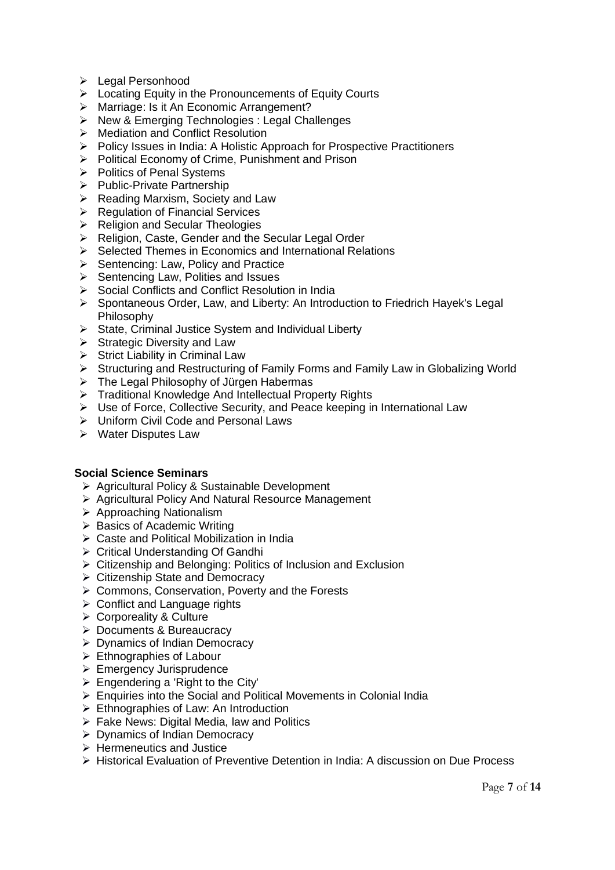- ➢ Legal Personhood
- ➢ Locating Equity in the Pronouncements of Equity Courts
- ➢ Marriage: Is it An Economic Arrangement?
- ➢ New & Emerging Technologies : Legal Challenges
- ➢ Mediation and Conflict Resolution
- ➢ Policy Issues in India: A Holistic Approach for Prospective Practitioners
- ➢ Political Economy of Crime, Punishment and Prison
- ➢ Politics of Penal Systems
- ➢ Public-Private Partnership
- ➢ Reading Marxism, Society and Law
- ➢ Regulation of Financial Services
- ➢ Religion and Secular Theologies
- ➢ Religion, Caste, Gender and the Secular Legal Order
- ➢ Selected Themes in Economics and International Relations
- ➢ Sentencing: Law, Policy and Practice
- ➢ Sentencing Law, Polities and Issues
- ➢ Social Conflicts and Conflict Resolution in India
- ➢ Spontaneous Order, Law, and Liberty: An Introduction to Friedrich Hayek's Legal Philosophy
- ➢ State, Criminal Justice System and Individual Liberty
- ➢ Strategic Diversity and Law
- $\triangleright$  Strict Liability in Criminal Law
- ➢ Structuring and Restructuring of Family Forms and Family Law in Globalizing World
- ➢ The Legal Philosophy of Jürgen Habermas
- ➢ Traditional Knowledge And Intellectual Property Rights
- $\triangleright$  Use of Force, Collective Security, and Peace keeping in International Law
- ➢ Uniform Civil Code and Personal Laws
- ➢ Water Disputes Law

#### **Social Science Seminars**

- ➢ Agricultural Policy & Sustainable Development
- ➢ Agricultural Policy And Natural Resource Management
- ➢ Approaching Nationalism
- ➢ Basics of Academic Writing
- ➢ Caste and Political Mobilization in India
- ➢ Critical Understanding Of Gandhi
- ➢ Citizenship and Belonging: Politics of Inclusion and Exclusion
- ➢ Citizenship State and Democracy
- ➢ Commons, Conservation, Poverty and the Forests
- ➢ Conflict and Language rights
- ➢ Corporeality & Culture
- ➢ Documents & Bureaucracy
- ➢ Dynamics of Indian Democracy
- ➢ Ethnographies of Labour
- ➢ Emergency Jurisprudence
- $\triangleright$  Engendering a 'Right to the City'
- ➢ Enquiries into the Social and Political Movements in Colonial India
- ➢ Ethnographies of Law: An Introduction
- $\triangleright$  Fake News: Digital Media, law and Politics
- ➢ Dynamics of Indian Democracy
- ➢ Hermeneutics and Justice
- ➢ Historical Evaluation of Preventive Detention in India: A discussion on Due Process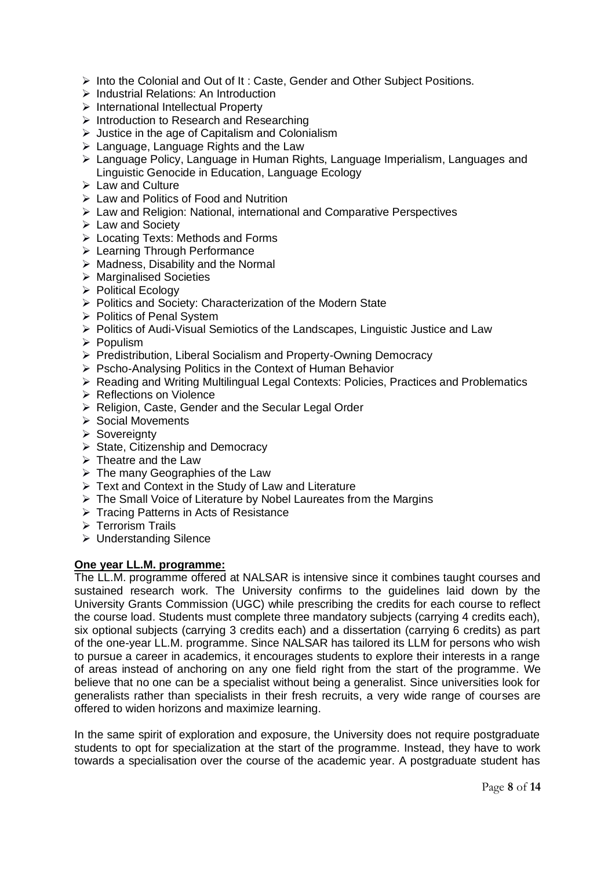- $\triangleright$  Into the Colonial and Out of It: Caste, Gender and Other Subject Positions.
- ➢ Industrial Relations: An Introduction
- ➢ International Intellectual Property
- ➢ Introduction to Research and Researching
- ➢ Justice in the age of Capitalism and Colonialism
- ➢ Language, Language Rights and the Law
- ➢ Language Policy, Language in Human Rights, Language Imperialism, Languages and Linguistic Genocide in Education, Language Ecology
- ➢ Law and Culture
- ➢ Law and Politics of Food and Nutrition
- ➢ Law and Religion: National, international and Comparative Perspectives
- ➢ Law and Society
- ➢ Locating Texts: Methods and Forms
- ➢ Learning Through Performance
- $\triangleright$  Madness, Disability and the Normal
- ➢ Marginalised Societies
- ➢ Political Ecology
- ➢ Politics and Society: Characterization of the Modern State
- ➢ Politics of Penal System
- ➢ Politics of Audi-Visual Semiotics of the Landscapes, Linguistic Justice and Law
- ➢ Populism
- ➢ Predistribution, Liberal Socialism and Property-Owning Democracy
- ➢ Pscho-Analysing Politics in the Context of Human Behavior
- ➢ Reading and Writing Multilingual Legal Contexts: Policies, Practices and Problematics
- ➢ Reflections on Violence
- ➢ Religion, Caste, Gender and the Secular Legal Order
- ➢ Social Movements
- ➢ Sovereignty
- ➢ State, Citizenship and Democracy
- $\triangleright$  Theatre and the Law
- $\triangleright$  The many Geographies of the Law
- ➢ Text and Context in the Study of Law and Literature
- ➢ The Small Voice of Literature by Nobel Laureates from the Margins
- ➢ Tracing Patterns in Acts of Resistance
- ➢ Terrorism Trails
- ➢ Understanding Silence

## **One year LL.M. programme:**

The LL.M. programme offered at NALSAR is intensive since it combines taught courses and sustained research work. The University confirms to the guidelines laid down by the University Grants Commission (UGC) while prescribing the credits for each course to reflect the course load. Students must complete three mandatory subjects (carrying 4 credits each), six optional subjects (carrying 3 credits each) and a dissertation (carrying 6 credits) as part of the one-year LL.M. programme. Since NALSAR has tailored its LLM for persons who wish to pursue a career in academics, it encourages students to explore their interests in a range of areas instead of anchoring on any one field right from the start of the programme. We believe that no one can be a specialist without being a generalist. Since universities look for generalists rather than specialists in their fresh recruits, a very wide range of courses are offered to widen horizons and maximize learning.

In the same spirit of exploration and exposure, the University does not require postgraduate students to opt for specialization at the start of the programme. Instead, they have to work towards a specialisation over the course of the academic year. A postgraduate student has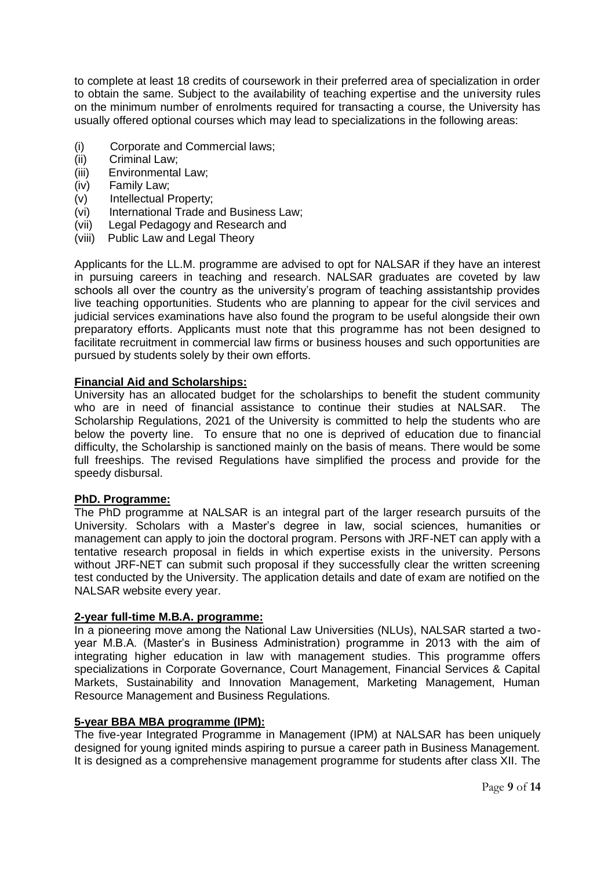to complete at least 18 credits of coursework in their preferred area of specialization in order to obtain the same. Subject to the availability of teaching expertise and the university rules on the minimum number of enrolments required for transacting a course, the University has usually offered optional courses which may lead to specializations in the following areas:

- (i) Corporate and Commercial laws;
- (ii) Criminal Law;
- (iii) Environmental Law;
- (iv) Family Law;
- (v) Intellectual Property;
- (vi) International Trade and Business Law;
- (vii) Legal Pedagogy and Research and
- (viii) Public Law and Legal Theory

Applicants for the LL.M. programme are advised to opt for NALSAR if they have an interest in pursuing careers in teaching and research. NALSAR graduates are coveted by law schools all over the country as the university's program of teaching assistantship provides live teaching opportunities. Students who are planning to appear for the civil services and judicial services examinations have also found the program to be useful alongside their own preparatory efforts. Applicants must note that this programme has not been designed to facilitate recruitment in commercial law firms or business houses and such opportunities are pursued by students solely by their own efforts.

## **Financial Aid and Scholarships:**

University has an allocated budget for the scholarships to benefit the student community who are in need of financial assistance to continue their studies at NALSAR. The Scholarship Regulations, 2021 of the University is committed to help the students who are below the poverty line. To ensure that no one is deprived of education due to financial difficulty, the Scholarship is sanctioned mainly on the basis of means. There would be some full freeships. The revised Regulations have simplified the process and provide for the speedy disbursal.

#### **PhD. Programme:**

The PhD programme at NALSAR is an integral part of the larger research pursuits of the University. Scholars with a Master's degree in law, social sciences, humanities or management can apply to join the doctoral program. Persons with JRF-NET can apply with a tentative research proposal in fields in which expertise exists in the university. Persons without JRF-NET can submit such proposal if they successfully clear the written screening test conducted by the University. The application details and date of exam are notified on the NALSAR website every year.

#### **2-year full-time M.B.A. programme:**

In a pioneering move among the National Law Universities (NLUs), NALSAR started a twoyear M.B.A. (Master's in Business Administration) programme in 2013 with the aim of integrating higher education in law with management studies. This programme offers specializations in Corporate Governance, Court Management, Financial Services & Capital Markets, Sustainability and Innovation Management, Marketing Management, Human Resource Management and Business Regulations.

#### **5-year BBA MBA programme (IPM):**

The five-year Integrated Programme in Management (IPM) at NALSAR has been uniquely designed for young ignited minds aspiring to pursue a career path in Business Management. It is designed as a comprehensive management programme for students after class XII. The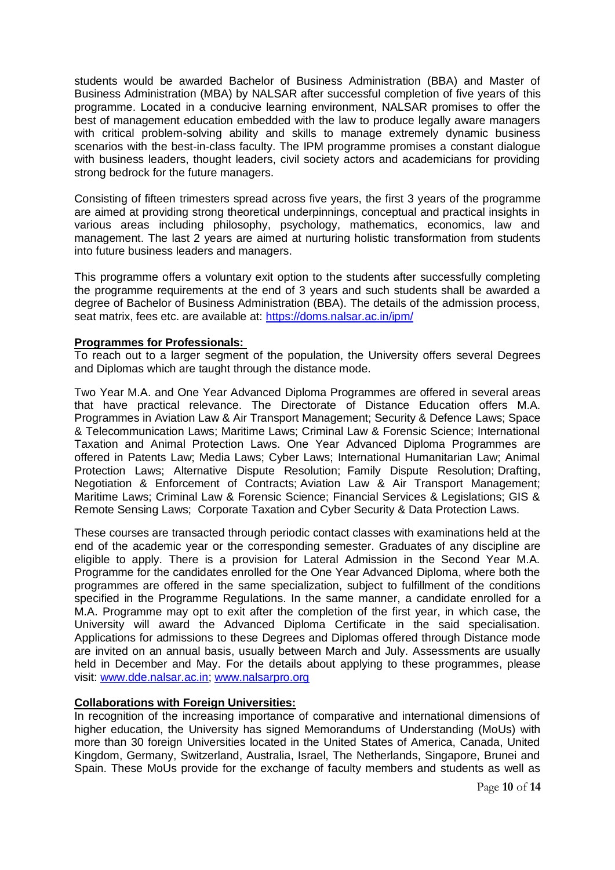students would be awarded Bachelor of Business Administration (BBA) and Master of Business Administration (MBA) by NALSAR after successful completion of five years of this programme. Located in a conducive learning environment, NALSAR promises to offer the best of management education embedded with the law to produce legally aware managers with critical problem-solving ability and skills to manage extremely dynamic business scenarios with the best-in-class faculty. The IPM programme promises a constant dialogue with business leaders, thought leaders, civil society actors and academicians for providing strong bedrock for the future managers.

Consisting of fifteen trimesters spread across five years, the first 3 years of the programme are aimed at providing strong theoretical underpinnings, conceptual and practical insights in various areas including philosophy, psychology, mathematics, economics, law and management. The last 2 years are aimed at nurturing holistic transformation from students into future business leaders and managers.

This programme offers a voluntary exit option to the students after successfully completing the programme requirements at the end of 3 years and such students shall be awarded a degree of Bachelor of Business Administration (BBA). The details of the admission process, seat matrix, fees etc. are available at: <https://doms.nalsar.ac.in/ipm/>

## **Programmes for Professionals:**

To reach out to a larger segment of the population, the University offers several Degrees and Diplomas which are taught through the distance mode.

Two Year M.A. and One Year Advanced Diploma Programmes are offered in several areas that have practical relevance. The Directorate of Distance Education offers M.A. Programmes in Aviation Law & Air Transport Management; Security & Defence Laws; Space & Telecommunication Laws; Maritime Laws; Criminal Law & Forensic Science; International Taxation and Animal Protection Laws. One Year Advanced Diploma Programmes are offered in Patents Law; Media Laws; Cyber Laws; International Humanitarian Law; Animal Protection Laws; Alternative Dispute Resolution; Family Dispute Resolution; Drafting, Negotiation & Enforcement of Contracts; Aviation Law & Air Transport Management; Maritime Laws; Criminal Law & Forensic Science; Financial Services & Legislations; GIS & Remote Sensing Laws; Corporate Taxation and Cyber Security & Data Protection Laws.

These courses are transacted through periodic contact classes with examinations held at the end of the academic year or the corresponding semester. Graduates of any discipline are eligible to apply. There is a provision for Lateral Admission in the Second Year M.A. Programme for the candidates enrolled for the One Year Advanced Diploma, where both the programmes are offered in the same specialization, subject to fulfillment of the conditions specified in the Programme Regulations. In the same manner, a candidate enrolled for a M.A. Programme may opt to exit after the completion of the first year, in which case, the University will award the Advanced Diploma Certificate in the said specialisation. Applications for admissions to these Degrees and Diplomas offered through Distance mode are invited on an annual basis, usually between March and July. Assessments are usually held in December and May. For the details about applying to these programmes, please visit: [www.dde.nalsar.ac.in;](http://www.dde.nalsar.ac.in/) [www.nalsarpro.org](http://www.nalsarpro.org/)

#### **Collaborations with Foreign Universities:**

In recognition of the increasing importance of comparative and international dimensions of higher education, the University has signed Memorandums of Understanding (MoUs) with more than 30 foreign Universities located in the United States of America, Canada, United Kingdom, Germany, Switzerland, Australia, Israel, The Netherlands, Singapore, Brunei and Spain. These MoUs provide for the exchange of faculty members and students as well as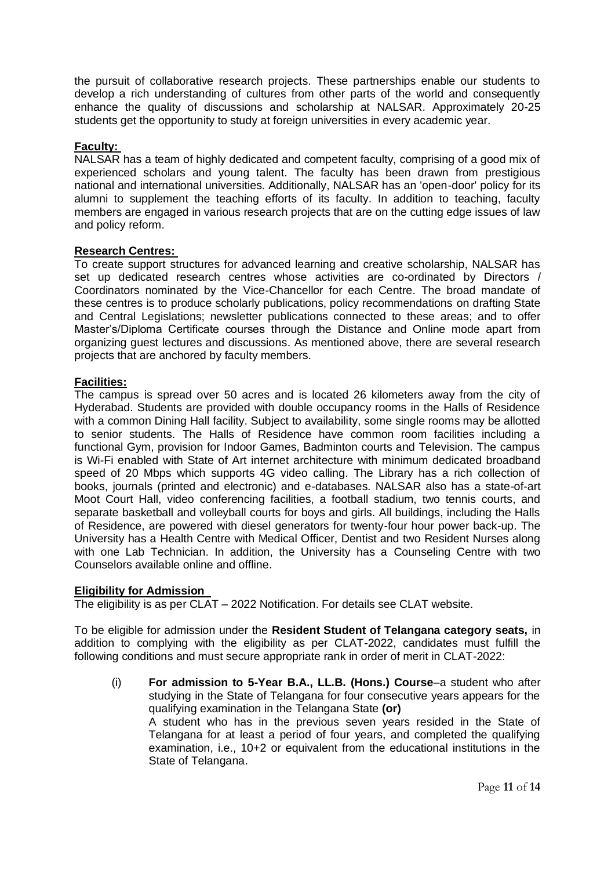the pursuit of collaborative research projects. These partnerships enable our students to develop a rich understanding of cultures from other parts of the world and consequently enhance the quality of discussions and scholarship at NALSAR. Approximately 20-25 students get the opportunity to study at foreign universities in every academic year.

## **Faculty:**

NALSAR has a team of highly dedicated and competent faculty, comprising of a good mix of experienced scholars and young talent. The faculty has been drawn from prestigious national and international universities. Additionally, NALSAR has an 'open-door' policy for its alumni to supplement the teaching efforts of its faculty. In addition to teaching, faculty members are engaged in various research projects that are on the cutting edge issues of law and policy reform.

#### **Research Centres:**

To create support structures for advanced learning and creative scholarship, NALSAR has set up dedicated research centres whose activities are co-ordinated by Directors / Coordinators nominated by the Vice-Chancellor for each Centre. The broad mandate of these centres is to produce scholarly publications, policy recommendations on drafting State and Central Legislations; newsletter publications connected to these areas; and to offer Master's/Diploma Certificate courses through the Distance and Online mode apart from organizing guest lectures and discussions. As mentioned above, there are several research projects that are anchored by faculty members.

#### **Facilities:**

The campus is spread over 50 acres and is located 26 kilometers away from the city of Hyderabad. Students are provided with double occupancy rooms in the Halls of Residence with a common Dining Hall facility. Subject to availability, some single rooms may be allotted to senior students. The Halls of Residence have common room facilities including a functional Gym, provision for Indoor Games, Badminton courts and Television. The campus is Wi-Fi enabled with State of Art internet architecture with minimum dedicated broadband speed of 20 Mbps which supports 4G video calling. The Library has a rich collection of books, journals (printed and electronic) and e-databases. NALSAR also has a state-of-art Moot Court Hall, video conferencing facilities, a football stadium, two tennis courts, and separate basketball and volleyball courts for boys and girls. All buildings, including the Halls of Residence, are powered with diesel generators for twenty-four hour power back-up. The University has a Health Centre with Medical Officer, Dentist and two Resident Nurses along with one Lab Technician. In addition, the University has a Counseling Centre with two Counselors available online and offline.

#### **Eligibility for Admission**

The eligibility is as per CLAT – 2022 Notification. For details see CLAT website.

To be eligible for admission under the **Resident Student of Telangana category seats,** in addition to complying with the eligibility as per CLAT-2022, candidates must fulfill the following conditions and must secure appropriate rank in order of merit in CLAT-2022:

(i) **For admission to 5-Year B.A., LL.B. (Hons.) Course**–a student who after studying in the State of Telangana for four consecutive years appears for the qualifying examination in the Telangana State **(or)** A student who has in the previous seven years resided in the State of Telangana for at least a period of four years, and completed the qualifying examination, i.e., 10+2 or equivalent from the educational institutions in the State of Telangana.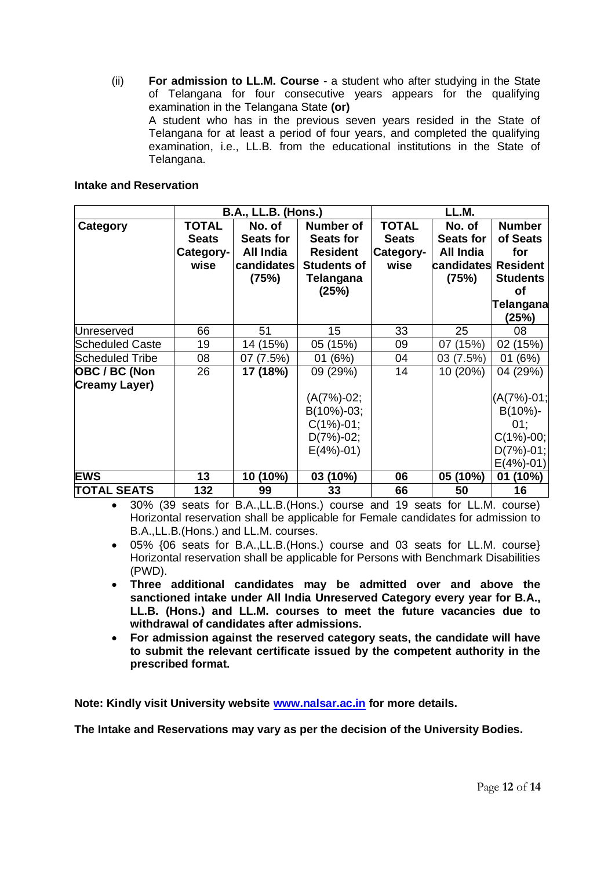(ii) **For admission to LL.M. Course** - a student who after studying in the State of Telangana for four consecutive years appears for the qualifying examination in the Telangana State **(or)** A student who has in the previous seven years resided in the State of Telangana for at least a period of four years, and completed the qualifying examination, i.e., LL.B. from the educational institutions in the State of Telangana.

## **Intake and Reservation**

|                        |                 | <b>B.A., LL.B. (Hons.)</b> |                    | LL.M.        |                  |                 |  |
|------------------------|-----------------|----------------------------|--------------------|--------------|------------------|-----------------|--|
| Category               | TOTAL<br>No. of |                            | Number of          | <b>TOTAL</b> | No. of           | <b>Number</b>   |  |
|                        | <b>Seats</b>    | <b>Seats for</b>           | <b>Seats for</b>   | <b>Seats</b> | <b>Seats for</b> | of Seats        |  |
|                        | Category-       | All India                  | <b>Resident</b>    | Category-    | <b>All India</b> | for             |  |
|                        | wise            | candidates                 | <b>Students of</b> | wise         | candidates       | <b>Resident</b> |  |
|                        |                 | (75%)                      | Telangana          |              | (75%)            | <b>Students</b> |  |
|                        |                 |                            | (25%)              |              |                  | of              |  |
|                        |                 |                            |                    |              |                  | Telangana       |  |
|                        |                 |                            |                    |              |                  | (25%)           |  |
| Unreserved             | 66              | 51                         | 15                 | 33           | 25               | 08              |  |
| <b>Scheduled Caste</b> | 19              | 14 (15%)                   | 05 (15%)           | 09           | (15%)<br>07      | 02 (15%)        |  |
| Scheduled Tribe        | 08              | 07 (7.5%)                  | 01 (6%)            | 04           | 03 (7.5%)        | 01 (6%)         |  |
| OBC / BC (Non          | 26              | 17 (18%)                   | 09 (29%)           | 14           | 10 (20%)         | 04 (29%)        |  |
| <b>Creamy Layer)</b>   |                 |                            |                    |              |                  |                 |  |
|                        |                 |                            | $(A(7%)-02;$       |              |                  | $(A(7%)-01;$    |  |
|                        |                 |                            | $B(10\%) -03;$     |              |                  | $B(10\%)$ -     |  |
|                        |                 |                            | $C(1\%) -01;$      |              |                  | 01;             |  |
|                        |                 |                            | $D(7%)-02;$        |              |                  | $C(1\%) -00;$   |  |
|                        |                 |                            | $E(4\%) -01$       |              |                  | $D(7%)-01;$     |  |
|                        |                 |                            |                    |              |                  | $E(4\%) -01$    |  |
| <b>EWS</b>             | 13              | 10 (10%)                   | 03 (10%)           | 06           | 05 (10%)         | 01<br>(10%)     |  |
| <b>TOTAL SEATS</b>     | 132             | 99                         | 33                 | 66           | 50               | 16              |  |

• 30% (39 seats for B.A.,LL.B.(Hons.) course and 19 seats for LL.M. course) Horizontal reservation shall be applicable for Female candidates for admission to B.A.,LL.B.(Hons.) and LL.M. courses.

- 05% {06 seats for B.A.,LL.B.(Hons.) course and 03 seats for LL.M. course} Horizontal reservation shall be applicable for Persons with Benchmark Disabilities (PWD).
- **Three additional candidates may be admitted over and above the sanctioned intake under All India Unreserved Category every year for B.A., LL.B. (Hons.) and LL.M. courses to meet the future vacancies due to withdrawal of candidates after admissions.**
- **For admission against the reserved category seats, the candidate will have to submit the relevant certificate issued by the competent authority in the prescribed format.**

**Note: Kindly visit University website [www.nalsar.ac.in](http://www.nalsar.ac.in/) for more details.**

**The Intake and Reservations may vary as per the decision of the University Bodies.**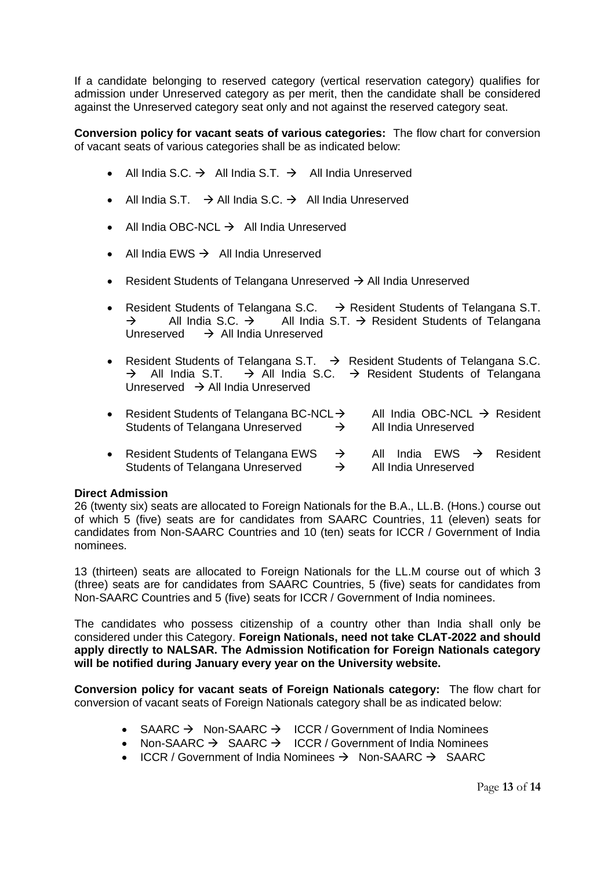If a candidate belonging to reserved category (vertical reservation category) qualifies for admission under Unreserved category as per merit, then the candidate shall be considered against the Unreserved category seat only and not against the reserved category seat.

**Conversion policy for vacant seats of various categories:** The flow chart for conversion of vacant seats of various categories shall be as indicated below:

- All India S.C.  $\rightarrow$  All India S.T.  $\rightarrow$  All India Unreserved
- All India S.T.  $\rightarrow$  All India S.C.  $\rightarrow$  All India Unreserved
- All India OBC-NCL  $\rightarrow$  All India Unreserved
- All India EWS → All India Unreserved
- Resident Students of Telangana Unreserved → All India Unreserved
- Resident Students of Telangana S.C.  $\rightarrow$  Resident Students of Telangana S.T.  $\rightarrow$  All India S.C.  $\rightarrow$  All India S.T.  $\rightarrow$  Resident Students of Telangana Unreserved  $\rightarrow$  All India Unreserved
- Resident Students of Telangana S.T.  $\rightarrow$  Resident Students of Telangana S.C.  $\rightarrow$  All India S.T.  $\rightarrow$  All India S.C.  $\rightarrow$  Resident Students of Telangana Unreserved → All India Unreserved

| • Resident Students of Telangana BC-NCL $\rightarrow$<br>Students of Telangana Unreserved | $\rightarrow$ |  | All India Unreserved | All India OBC-NCL $\rightarrow$ Resident |
|-------------------------------------------------------------------------------------------|---------------|--|----------------------|------------------------------------------|
| • Resident Students of Telangana EWS $\rightarrow$                                        |               |  |                      | All India EWS $\rightarrow$ Resident     |

# Students of Telangana Unreserved → All India Unreserved

## **Direct Admission**

26 (twenty six) seats are allocated to Foreign Nationals for the B.A., LL.B. (Hons.) course out of which 5 (five) seats are for candidates from SAARC Countries, 11 (eleven) seats for candidates from Non-SAARC Countries and 10 (ten) seats for ICCR / Government of India nominees.

13 (thirteen) seats are allocated to Foreign Nationals for the LL.M course out of which 3 (three) seats are for candidates from SAARC Countries, 5 (five) seats for candidates from Non-SAARC Countries and 5 (five) seats for ICCR / Government of India nominees.

The candidates who possess citizenship of a country other than India shall only be considered under this Category. **Foreign Nationals, need not take CLAT-2022 and should apply directly to NALSAR. The Admission Notification for Foreign Nationals category will be notified during January every year on the University website.**

**Conversion policy for vacant seats of Foreign Nationals category:** The flow chart for conversion of vacant seats of Foreign Nationals category shall be as indicated below:

- SAARC  $\rightarrow$  Non-SAARC  $\rightarrow$  ICCR / Government of India Nominees
- Non-SAARC → SAARC → ICCR / Government of India Nominees
- ICCR / Government of India Nominees → Non-SAARC → SAARC